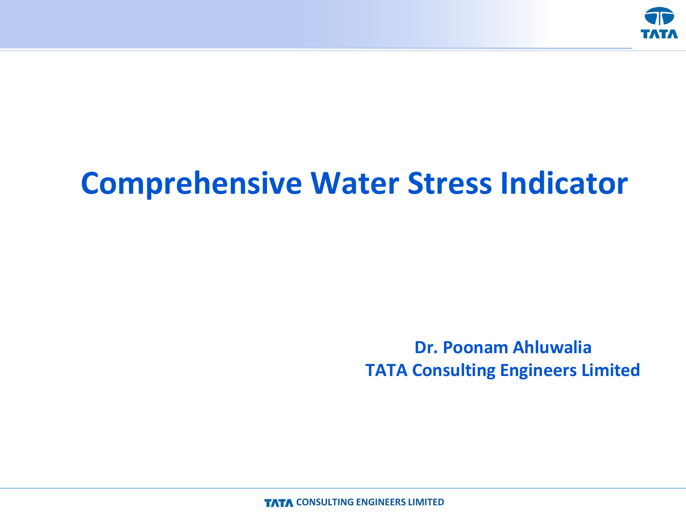

## **Comprehensive Water Stress Indicator**

**Dr. Poonam Ahluwalia TATA Consulting Engineers Limited**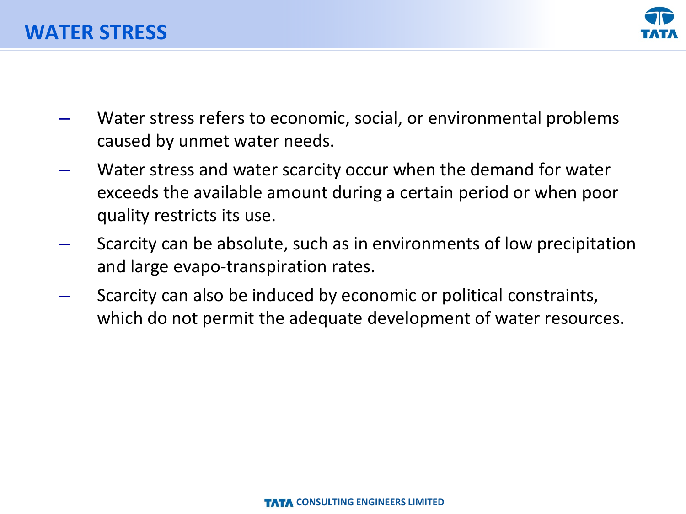

- Water stress refers to economic, social, or environmental problems caused by unmet water needs.
- Water stress and water scarcity occur when the demand for water exceeds the available amount during a certain period or when poor quality restricts its use.
- Scarcity can be absolute, such as in environments of low precipitation and large evapo-transpiration rates.
- Scarcity can also be induced by economic or political constraints, which do not permit the adequate development of water resources.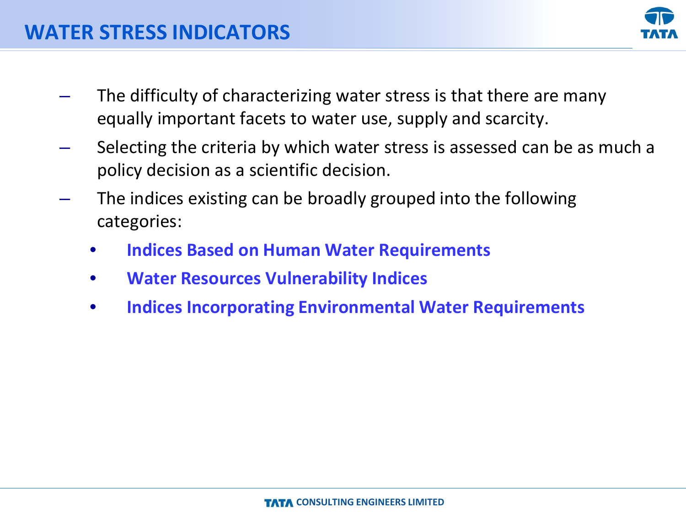

- The difficulty of characterizing water stress is that there are many equally important facets to water use, supply and scarcity.
- Selecting the criteria by which water stress is assessed can be as much a policy decision as a scientific decision.
- The indices existing can be broadly grouped into the following categories:
	- **Indices Based on Human Water Requirements**
	- **Water Resources Vulnerability Indices**
	- **Indices Incorporating Environmental Water Requirements**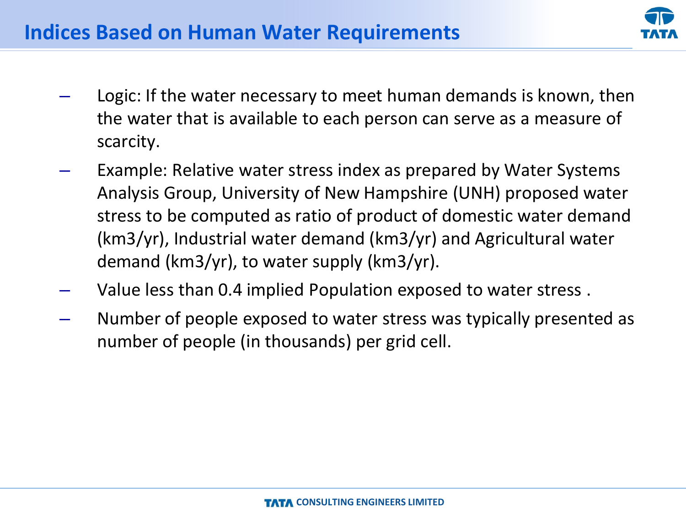

- Logic: If the water necessary to meet human demands is known, then the water that is available to each person can serve as a measure of scarcity.
- Example: Relative water stress index as prepared by Water Systems Analysis Group, University of New Hampshire (UNH) proposed water stress to be computed as ratio of product of domestic water demand (km3/yr), Industrial water demand (km3/yr) and Agricultural water demand (km3/yr), to water supply (km3/yr).
- Value less than 0.4 implied Population exposed to water stress .
- Number of people exposed to water stress was typically presented as number of people (in thousands) per grid cell.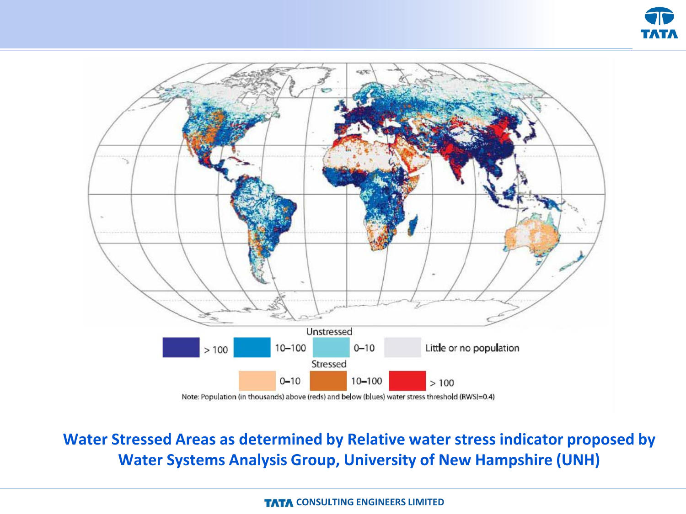



**Water Stressed Areas as determined by Relative water stress indicator proposed by Water Systems Analysis Group, University of New Hampshire (UNH)**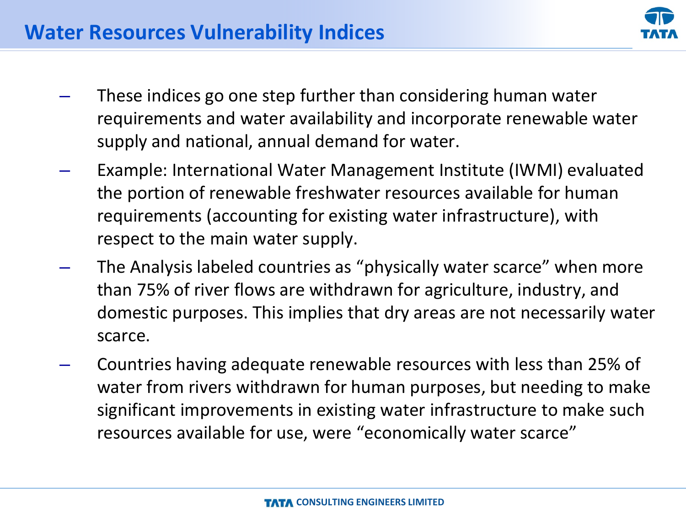- These indices go one step further than considering human water requirements and water availability and incorporate renewable water supply and national, annual demand for water.
- Example: International Water Management Institute (IWMI) evaluated the portion of renewable freshwater resources available for human requirements (accounting for existing water infrastructure), with respect to the main water supply.
- The Analysis labeled countries as "physically water scarce" when more than 75% of river flows are withdrawn for agriculture, industry, and domestic purposes. This implies that dry areas are not necessarily water scarce.
- Countries having adequate renewable resources with less than 25% of water from rivers withdrawn for human purposes, but needing to make significant improvements in existing water infrastructure to make such resources available for use, were "economically water scarce"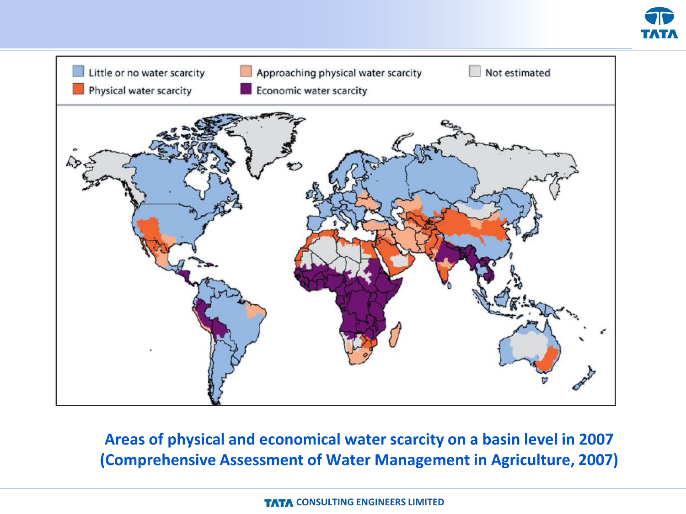



**Areas of physical and economical water scarcity on a basin level in 2007 (Comprehensive Assessment of Water Management in Agriculture, 2007)**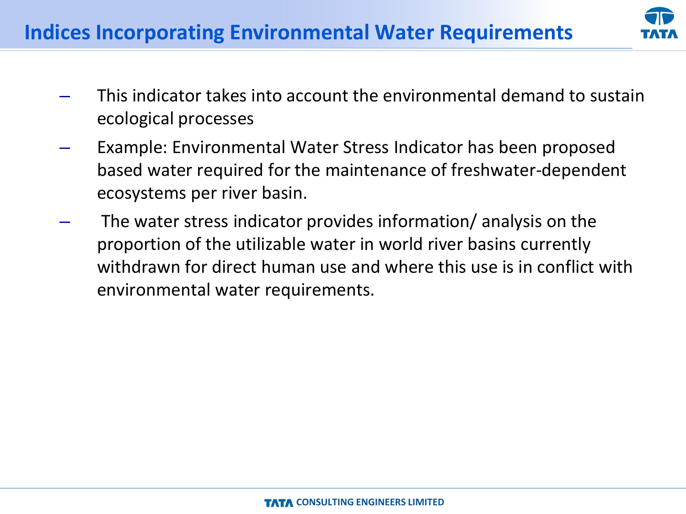

- This indicator takes into account the environmental demand to sustain ecological processes
- Example: Environmental Water Stress Indicator has been proposed based water required for the maintenance of freshwater-dependent ecosystems per river basin.
- The water stress indicator provides information/ analysis on the proportion of the utilizable water in world river basins currently withdrawn for direct human use and where this use is in conflict with environmental water requirements.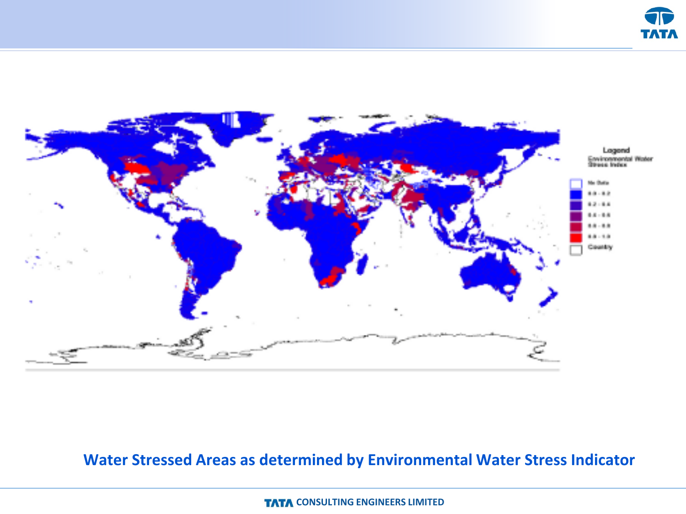



#### **Water Stressed Areas as determined by Environmental Water Stress Indicator**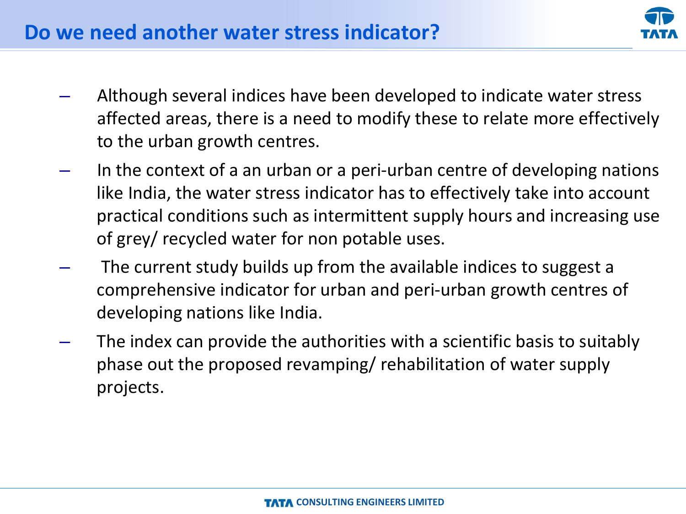

- Although several indices have been developed to indicate water stress affected areas, there is a need to modify these to relate more effectively to the urban growth centres.
- In the context of a an urban or a peri-urban centre of developing nations like India, the water stress indicator has to effectively take into account practical conditions such as intermittent supply hours and increasing use of grey/ recycled water for non potable uses.
- The current study builds up from the available indices to suggest a comprehensive indicator for urban and peri-urban growth centres of developing nations like India.
- The index can provide the authorities with a scientific basis to suitably phase out the proposed revamping/ rehabilitation of water supply projects.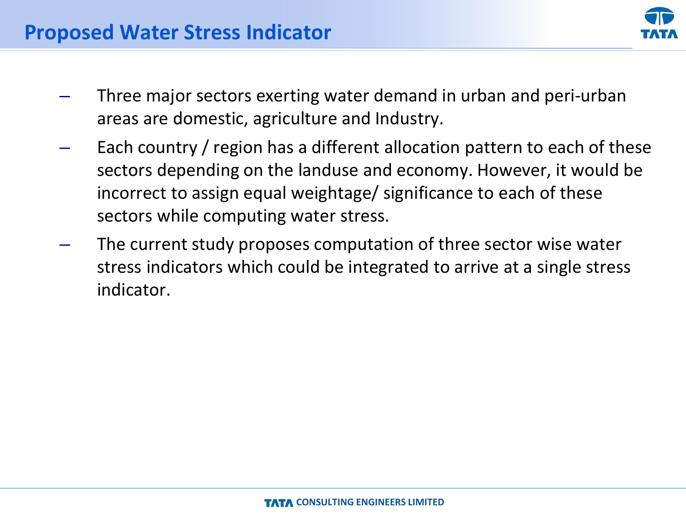

- Three major sectors exerting water demand in urban and peri-urban areas are domestic, agriculture and Industry.
- Each country / region has a different allocation pattern to each of these sectors depending on the landuse and economy. However, it would be incorrect to assign equal weightage/ significance to each of these sectors while computing water stress.
- The current study proposes computation of three sector wise water stress indicators which could be integrated to arrive at a single stress indicator.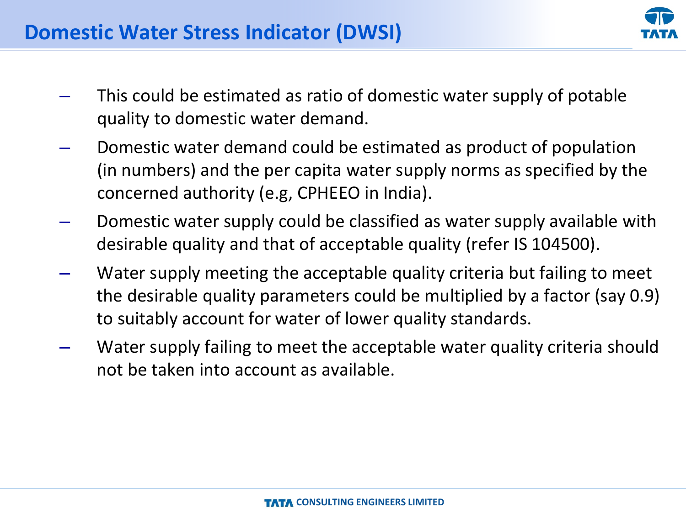- This could be estimated as ratio of domestic water supply of potable quality to domestic water demand.
- Domestic water demand could be estimated as product of population (in numbers) and the per capita water supply norms as specified by the concerned authority (e.g, CPHEEO in India).
- Domestic water supply could be classified as water supply available with desirable quality and that of acceptable quality (refer IS 104500).
- Water supply meeting the acceptable quality criteria but failing to meet the desirable quality parameters could be multiplied by a factor (say 0.9) to suitably account for water of lower quality standards.
- Water supply failing to meet the acceptable water quality criteria should not be taken into account as available.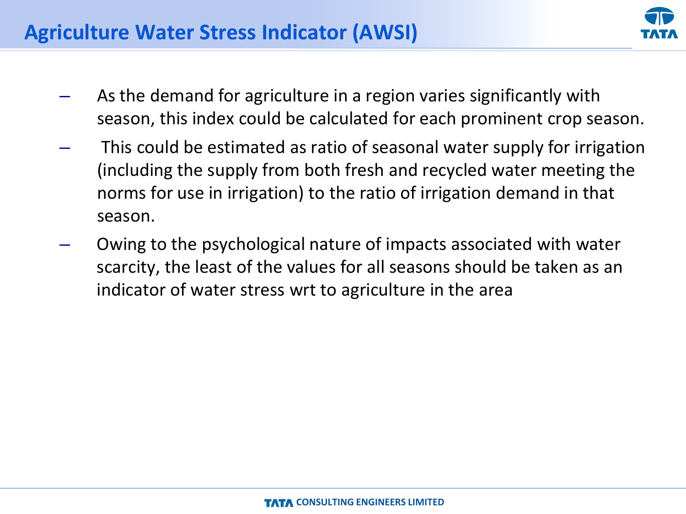

- As the demand for agriculture in a region varies significantly with season, this index could be calculated for each prominent crop season.
- This could be estimated as ratio of seasonal water supply for irrigation (including the supply from both fresh and recycled water meeting the norms for use in irrigation) to the ratio of irrigation demand in that season.
- Owing to the psychological nature of impacts associated with water scarcity, the least of the values for all seasons should be taken as an indicator of water stress wrt to agriculture in the area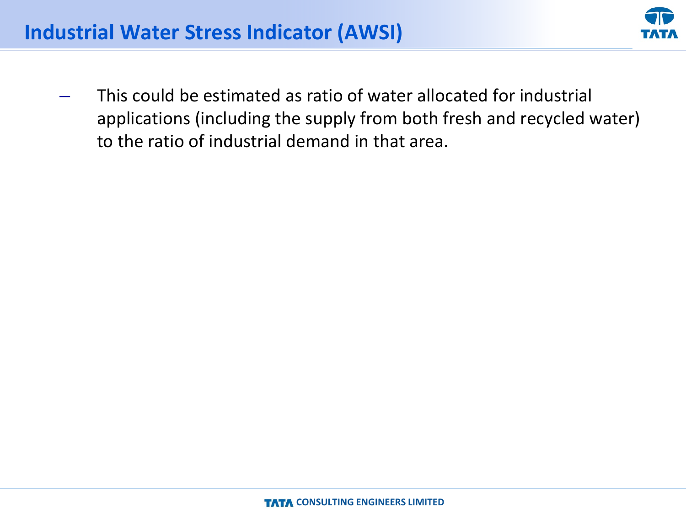

– This could be estimated as ratio of water allocated for industrial applications (including the supply from both fresh and recycled water) to the ratio of industrial demand in that area.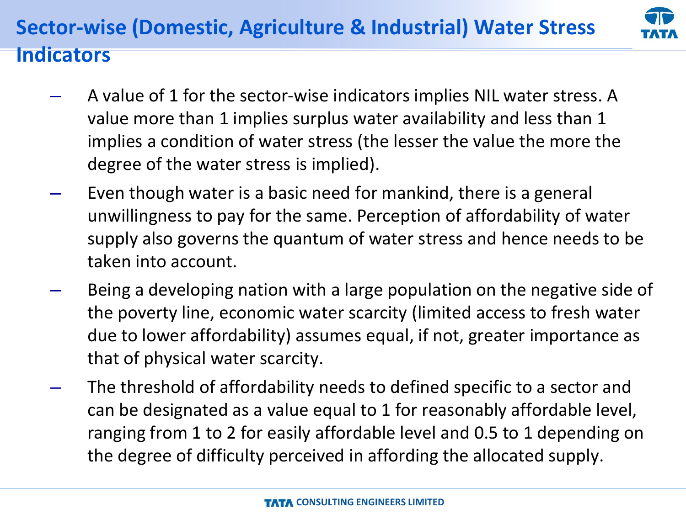# **Sector-wise (Domestic, Agriculture & Industrial) Water Stress**



### **Indicators**

- A value of 1 for the sector-wise indicators implies NIL water stress. A value more than 1 implies surplus water availability and less than 1 implies a condition of water stress (the lesser the value the more the degree of the water stress is implied).
- Even though water is a basic need for mankind, there is a general unwillingness to pay for the same. Perception of affordability of water supply also governs the quantum of water stress and hence needs to be taken into account.
- Being a developing nation with a large population on the negative side of the poverty line, economic water scarcity (limited access to fresh water due to lower affordability) assumes equal, if not, greater importance as that of physical water scarcity.
- The threshold of affordability needs to defined specific to a sector and can be designated as a value equal to 1 for reasonably affordable level, ranging from 1 to 2 for easily affordable level and 0.5 to 1 depending on the degree of difficulty perceived in affording the allocated supply.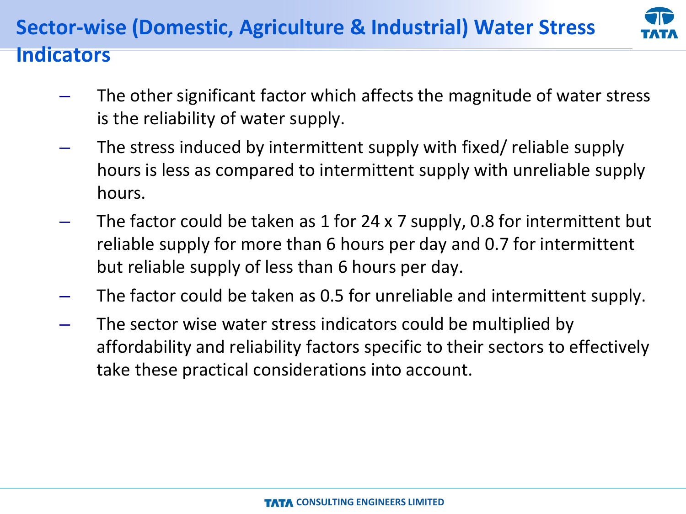### **Sector-wise (Domestic, Agriculture & Industrial) Water Stress**



### **Indicators**

- The other significant factor which affects the magnitude of water stress is the reliability of water supply.
- The stress induced by intermittent supply with fixed/ reliable supply hours is less as compared to intermittent supply with unreliable supply hours.
- The factor could be taken as 1 for 24 x 7 supply, 0.8 for intermittent but reliable supply for more than 6 hours per day and 0.7 for intermittent but reliable supply of less than 6 hours per day.
- The factor could be taken as 0.5 for unreliable and intermittent supply.
- The sector wise water stress indicators could be multiplied by affordability and reliability factors specific to their sectors to effectively take these practical considerations into account.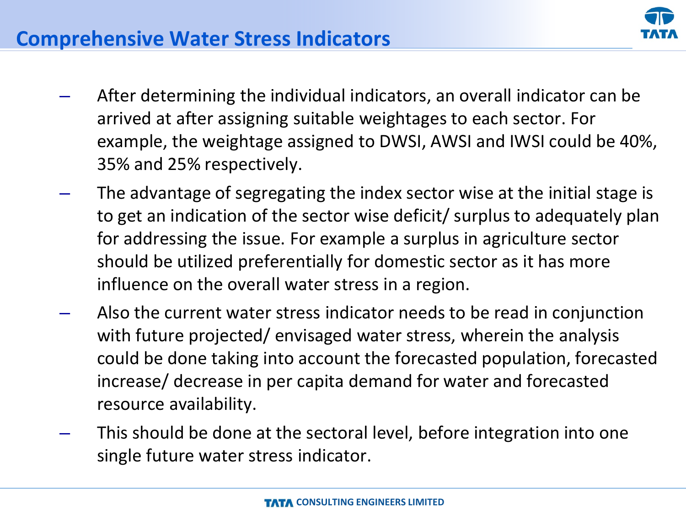

- After determining the individual indicators, an overall indicator can be arrived at after assigning suitable weightages to each sector. For example, the weightage assigned to DWSI, AWSI and IWSI could be 40%, 35% and 25% respectively.
- The advantage of segregating the index sector wise at the initial stage is to get an indication of the sector wise deficit/ surplus to adequately plan for addressing the issue. For example a surplus in agriculture sector should be utilized preferentially for domestic sector as it has more influence on the overall water stress in a region.
- Also the current water stress indicator needs to be read in conjunction with future projected/ envisaged water stress, wherein the analysis could be done taking into account the forecasted population, forecasted increase/ decrease in per capita demand for water and forecasted resource availability.
- This should be done at the sectoral level, before integration into one single future water stress indicator.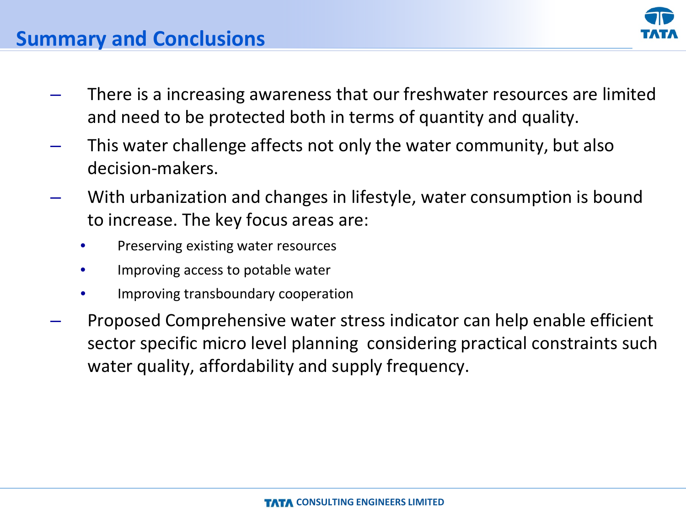

### **Summary and Conclusions**

- There is a increasing awareness that our freshwater resources are limited and need to be protected both in terms of quantity and quality.
- This water challenge affects not only the water community, but also decision-makers.
- With urbanization and changes in lifestyle, water consumption is bound to increase. The key focus areas are:
	- Preserving existing water resources
	- Improving access to potable water
	- Improving transboundary cooperation
- Proposed Comprehensive water stress indicator can help enable efficient sector specific micro level planning considering practical constraints such water quality, affordability and supply frequency.